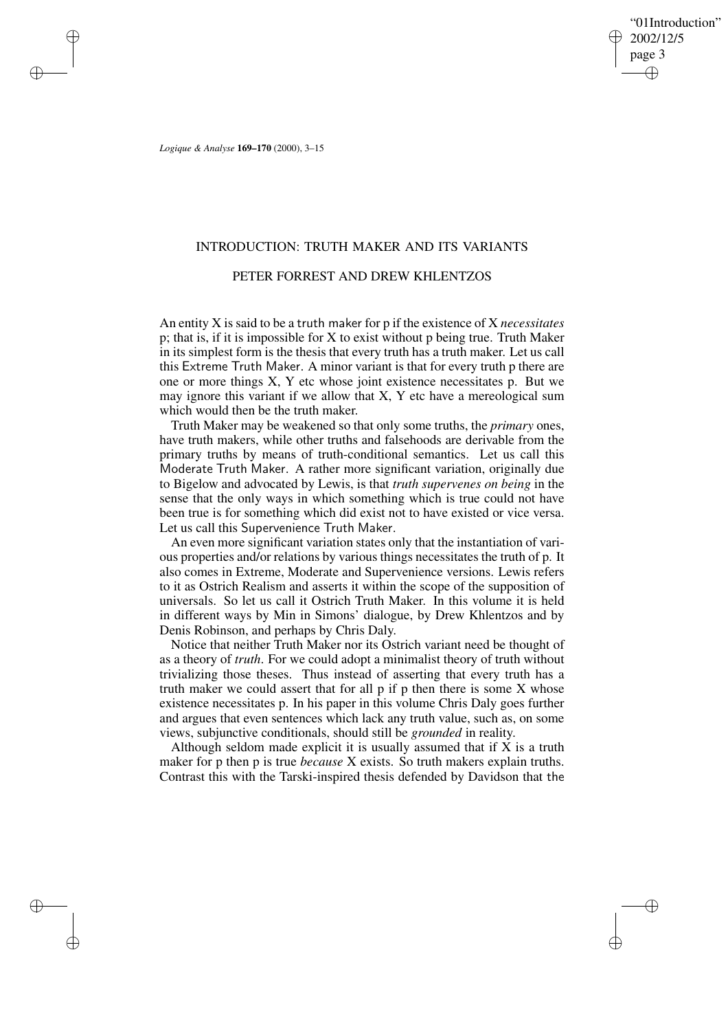"01Introduction" 2002/12/5 page 3 ✐ ✐

✐

✐

*Logique & Analyse* **169–170** (2000), 3–15

✐

✐

✐

✐

## INTRODUCTION: TRUTH MAKER AND ITS VARIANTS

## PETER FORREST AND DREW KHLENTZOS

An entity X is said to be a truth maker for p if the existence of X *necessitates* p; that is, if it is impossible for X to exist without p being true. Truth Maker in its simplest form is the thesis that every truth has a truth maker. Let us call this Extreme Truth Maker. A minor variant is that for every truth p there are one or more things X, Y etc whose joint existence necessitates p. But we may ignore this variant if we allow that X, Y etc have a mereological sum which would then be the truth maker.

Truth Maker may be weakened so that only some truths, the *primary* ones, have truth makers, while other truths and falsehoods are derivable from the primary truths by means of truth-conditional semantics. Let us call this Moderate Truth Maker. A rather more significant variation, originally due to Bigelow and advocated by Lewis, is that *truth supervenes on being* in the sense that the only ways in which something which is true could not have been true is for something which did exist not to have existed or vice versa. Let us call this Supervenience Truth Maker.

An even more significant variation states only that the instantiation of various properties and/or relations by various things necessitates the truth of p. It also comes in Extreme, Moderate and Supervenience versions. Lewis refers to it as Ostrich Realism and asserts it within the scope of the supposition of universals. So let us call it Ostrich Truth Maker. In this volume it is held in different ways by Min in Simons' dialogue, by Drew Khlentzos and by Denis Robinson, and perhaps by Chris Daly.

Notice that neither Truth Maker nor its Ostrich variant need be thought of as a theory of *truth*. For we could adopt a minimalist theory of truth without trivializing those theses. Thus instead of asserting that every truth has a truth maker we could assert that for all p if p then there is some X whose existence necessitates p. In his paper in this volume Chris Daly goes further and argues that even sentences which lack any truth value, such as, on some views, subjunctive conditionals, should still be *grounded* in reality.

Although seldom made explicit it is usually assumed that if  $X$  is a truth maker for p then p is true *because* X exists. So truth makers explain truths. Contrast this with the Tarski-inspired thesis defended by Davidson that the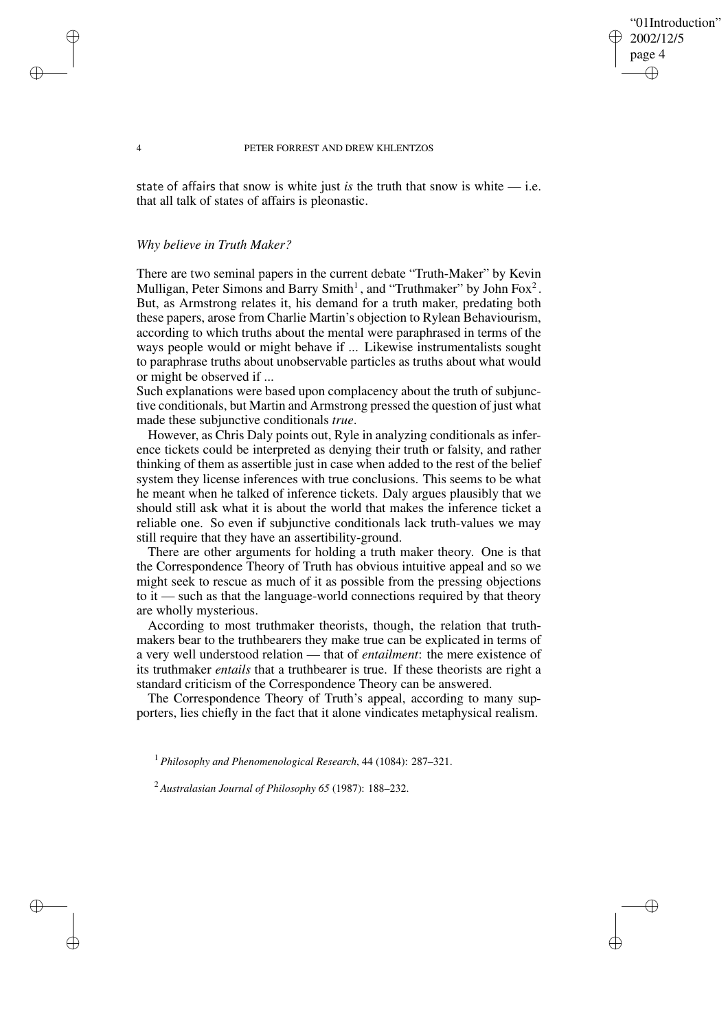## "01Introduction" 2002/12/5 page 4 ✐ ✐

✐

✐

#### 4 PETER FORREST AND DREW KHLENTZOS

state of affairs that snow is white just *is* the truth that snow is white  $\frac{d}{dx}$  i.e. that all talk of states of affairs is pleonastic.

#### *Why believe in Truth Maker?*

There are two seminal papers in the current debate "Truth-Maker" by Kevin Mulligan, Peter Simons and Barry Smith<sup>1</sup>, and "Truthmaker" by John Fox<sup>2</sup>. But, as Armstrong relates it, his demand for a truth maker, predating both these papers, arose from Charlie Martin's objection to Rylean Behaviourism, according to which truths about the mental were paraphrased in terms of the ways people would or might behave if ... Likewise instrumentalists sought to paraphrase truths about unobservable particles as truths about what would or might be observed if ...

Such explanations were based upon complacency about the truth of subjunctive conditionals, but Martin and Armstrong pressed the question of just what made these subjunctive conditionals *true*.

However, as Chris Daly points out, Ryle in analyzing conditionals as inference tickets could be interpreted as denying their truth or falsity, and rather thinking of them as assertible just in case when added to the rest of the belief system they license inferences with true conclusions. This seems to be what he meant when he talked of inference tickets. Daly argues plausibly that we should still ask what it is about the world that makes the inference ticket a reliable one. So even if subjunctive conditionals lack truth-values we may still require that they have an assertibility-ground.

There are other arguments for holding a truth maker theory. One is that the Correspondence Theory of Truth has obvious intuitive appeal and so we might seek to rescue as much of it as possible from the pressing objections to it — such as that the language-world connections required by that theory are wholly mysterious.

According to most truthmaker theorists, though, the relation that truthmakers bear to the truthbearers they make true can be explicated in terms of a very well understood relation — that of *entailment*: the mere existence of its truthmaker *entails* that a truthbearer is true. If these theorists are right a standard criticism of the Correspondence Theory can be answered.

The Correspondence Theory of Truth's appeal, according to many supporters, lies chiefly in the fact that it alone vindicates metaphysical realism.

✐

✐

✐

<sup>1</sup> *Philosophy and Phenomenological Research*, 44 (1084): 287–321.

<sup>2</sup> *Australasian Journal of Philosophy 65* (1987): 188–232.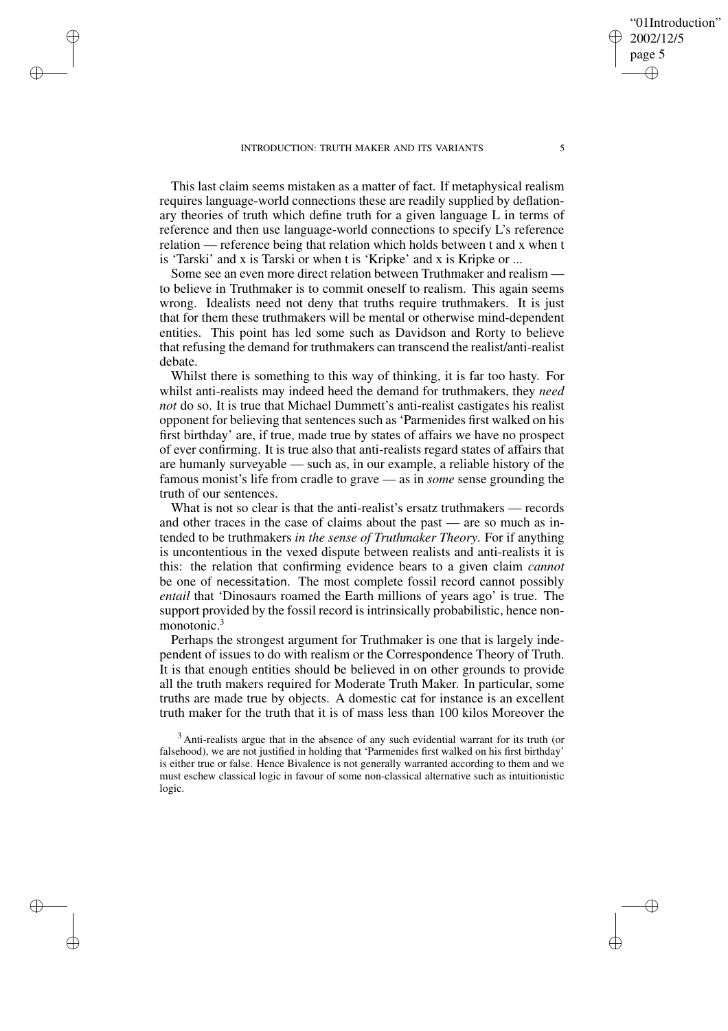✐

✐

✐

✐

This last claim seems mistaken as a matter of fact. If metaphysical realism requires language-world connections these are readily supplied by deflationary theories of truth which define truth for a given language L in terms of reference and then use language-world connections to specify L's reference relation — reference being that relation which holds between t and x when t is 'Tarski' and x is Tarski or when t is 'Kripke' and x is Kripke or ...

Some see an even more direct relation between Truthmaker and realism to believe in Truthmaker is to commit oneself to realism. This again seems wrong. Idealists need not deny that truths require truthmakers. It is just that for them these truthmakers will be mental or otherwise mind-dependent entities. This point has led some such as Davidson and Rorty to believe that refusing the demand for truthmakers can transcend the realist/anti-realist debate.

Whilst there is something to this way of thinking, it is far too hasty. For whilst anti-realists may indeed heed the demand for truthmakers, they *need not* do so. It is true that Michael Dummett's anti-realist castigates his realist opponent for believing that sentences such as 'Parmenides first walked on his first birthday' are, if true, made true by states of affairs we have no prospect of ever confirming. It is true also that anti-realists regard states of affairs that are humanly surveyable — such as, in our example, a reliable history of the famous monist's life from cradle to grave — as in *some* sense grounding the truth of our sentences.

What is not so clear is that the anti-realist's ersatz truthmakers — records and other traces in the case of claims about the past — are so much as intended to be truthmakers *in the sense of Truthmaker Theory*. For if anything is uncontentious in the vexed dispute between realists and anti-realists it is this: the relation that confirming evidence bears to a given claim *cannot* be one of necessitation. The most complete fossil record cannot possibly *entail* that 'Dinosaurs roamed the Earth millions of years ago' is true. The support provided by the fossil record is intrinsically probabilistic, hence nonmonotonic.<sup>3</sup>

Perhaps the strongest argument for Truthmaker is one that is largely independent of issues to do with realism or the Correspondence Theory of Truth. It is that enough entities should be believed in on other grounds to provide all the truth makers required for Moderate Truth Maker. In particular, some truths are made true by objects. A domestic cat for instance is an excellent truth maker for the truth that it is of mass less than 100 kilos Moreover the

 $3$  Anti-realists argue that in the absence of any such evidential warrant for its truth (or falsehood), we are not justified in holding that 'Parmenides first walked on his first birthday' is either true or false. Hence Bivalence is not generally warranted according to them and we must eschew classical logic in favour of some non-classical alternative such as intuitionistic logic.

"01Introduction"

2002/12/5 page 5

✐

✐

✐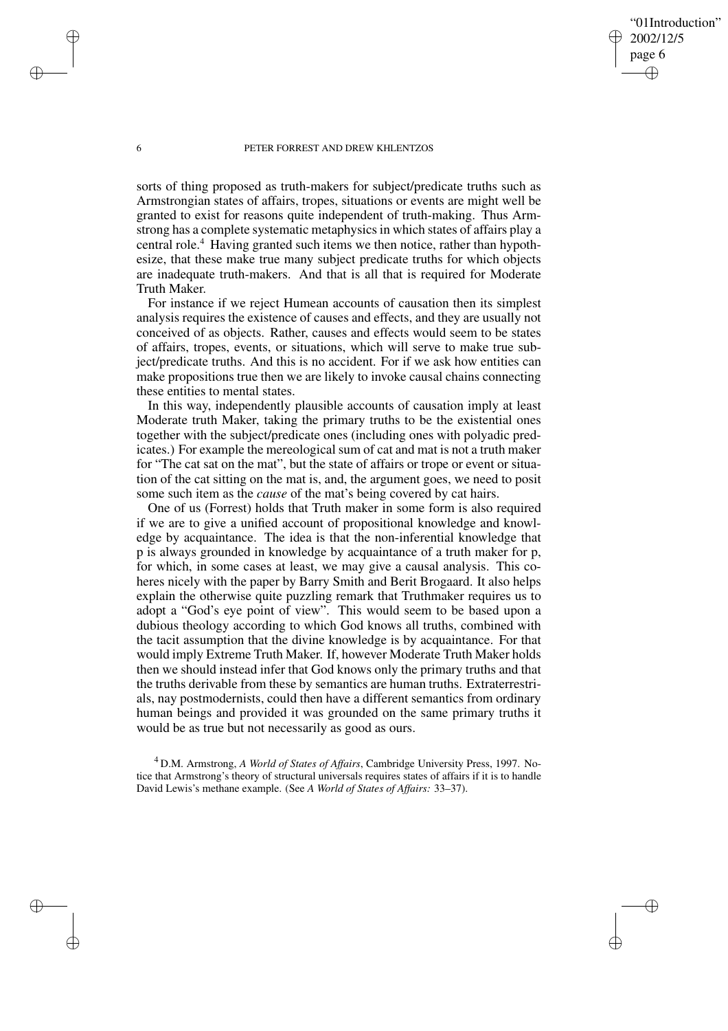"01Introduction" 2002/12/5 page 6 ✐ ✐

✐

✐

#### 6 PETER FORREST AND DREW KHLENTZOS

sorts of thing proposed as truth-makers for subject/predicate truths such as Armstrongian states of affairs, tropes, situations or events are might well be granted to exist for reasons quite independent of truth-making. Thus Armstrong has a complete systematic metaphysics in which states of affairs play a central role.<sup>4</sup> Having granted such items we then notice, rather than hypothesize, that these make true many subject predicate truths for which objects are inadequate truth-makers. And that is all that is required for Moderate Truth Maker.

For instance if we reject Humean accounts of causation then its simplest analysis requires the existence of causes and effects, and they are usually not conceived of as objects. Rather, causes and effects would seem to be states of affairs, tropes, events, or situations, which will serve to make true subject/predicate truths. And this is no accident. For if we ask how entities can make propositions true then we are likely to invoke causal chains connecting these entities to mental states.

In this way, independently plausible accounts of causation imply at least Moderate truth Maker, taking the primary truths to be the existential ones together with the subject/predicate ones (including ones with polyadic predicates.) For example the mereological sum of cat and mat is not a truth maker for "The cat sat on the mat", but the state of affairs or trope or event or situation of the cat sitting on the mat is, and, the argument goes, we need to posit some such item as the *cause* of the mat's being covered by cat hairs.

One of us (Forrest) holds that Truth maker in some form is also required if we are to give a unified account of propositional knowledge and knowledge by acquaintance. The idea is that the non-inferential knowledge that p is always grounded in knowledge by acquaintance of a truth maker for p, for which, in some cases at least, we may give a causal analysis. This coheres nicely with the paper by Barry Smith and Berit Brogaard. It also helps explain the otherwise quite puzzling remark that Truthmaker requires us to adopt a "God's eye point of view". This would seem to be based upon a dubious theology according to which God knows all truths, combined with the tacit assumption that the divine knowledge is by acquaintance. For that would imply Extreme Truth Maker. If, however Moderate Truth Maker holds then we should instead infer that God knows only the primary truths and that the truths derivable from these by semantics are human truths. Extraterrestrials, nay postmodernists, could then have a different semantics from ordinary human beings and provided it was grounded on the same primary truths it would be as true but not necessarily as good as ours.

<sup>4</sup> D.M. Armstrong, *A World of States of Affairs*, Cambridge University Press, 1997. Notice that Armstrong's theory of structural universals requires states of affairs if it is to handle David Lewis's methane example. (See *A World of States of Affairs:* 33–37).

✐

✐

✐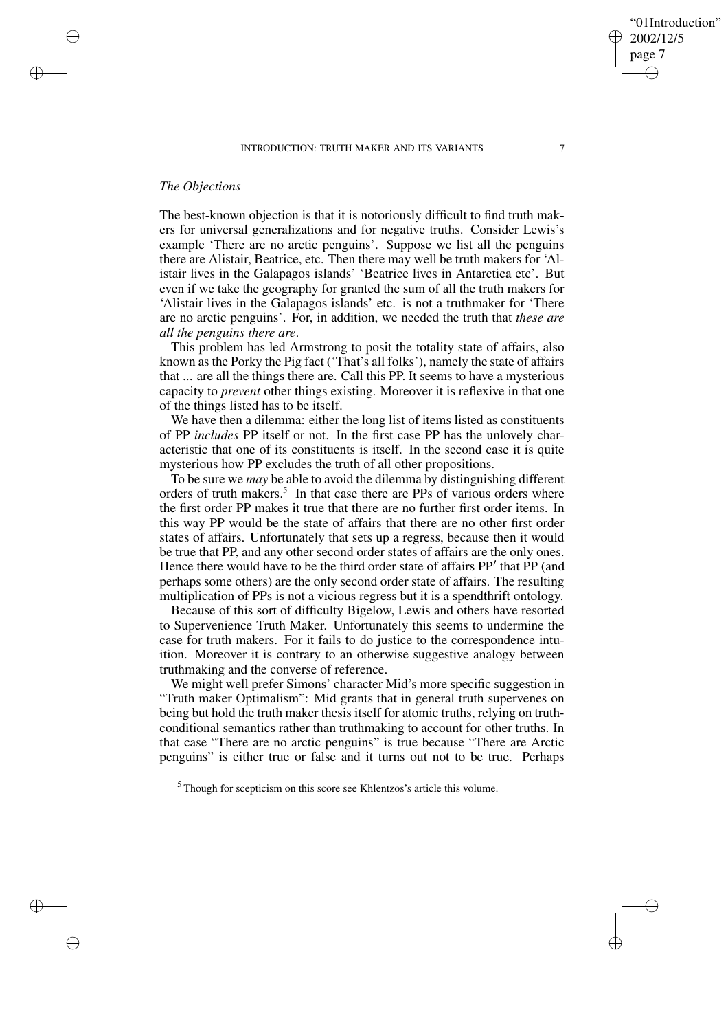# *The Objections*

✐

✐

✐

✐

The best-known objection is that it is notoriously difficult to find truth makers for universal generalizations and for negative truths. Consider Lewis's example 'There are no arctic penguins'. Suppose we list all the penguins there are Alistair, Beatrice, etc. Then there may well be truth makers for 'Alistair lives in the Galapagos islands' 'Beatrice lives in Antarctica etc'. But even if we take the geography for granted the sum of all the truth makers for 'Alistair lives in the Galapagos islands' etc. is not a truthmaker for 'There are no arctic penguins'. For, in addition, we needed the truth that *these are all the penguins there are*.

This problem has led Armstrong to posit the totality state of affairs, also known as the Porky the Pig fact ('That's all folks'), namely the state of affairs that ... are all the things there are. Call this PP. It seems to have a mysterious capacity to *prevent* other things existing. Moreover it is reflexive in that one of the things listed has to be itself.

We have then a dilemma: either the long list of items listed as constituents of PP *includes* PP itself or not. In the first case PP has the unlovely characteristic that one of its constituents is itself. In the second case it is quite mysterious how PP excludes the truth of all other propositions.

To be sure we *may* be able to avoid the dilemma by distinguishing different orders of truth makers.<sup>5</sup> In that case there are PPs of various orders where the first order PP makes it true that there are no further first order items. In this way PP would be the state of affairs that there are no other first order states of affairs. Unfortunately that sets up a regress, because then it would be true that PP, and any other second order states of affairs are the only ones. Hence there would have to be the third order state of affairs PP' that PP (and perhaps some others) are the only second order state of affairs. The resulting multiplication of PPs is not a vicious regress but it is a spendthrift ontology.

Because of this sort of difficulty Bigelow, Lewis and others have resorted to Supervenience Truth Maker. Unfortunately this seems to undermine the case for truth makers. For it fails to do justice to the correspondence intuition. Moreover it is contrary to an otherwise suggestive analogy between truthmaking and the converse of reference.

We might well prefer Simons' character Mid's more specific suggestion in "Truth maker Optimalism": Mid grants that in general truth supervenes on being but hold the truth maker thesis itself for atomic truths, relying on truthconditional semantics rather than truthmaking to account for other truths. In that case "There are no arctic penguins" is true because "There are Arctic penguins" is either true or false and it turns out not to be true. Perhaps

✐

 $<sup>5</sup>$  Though for scepticism on this score see Khlentzos's article this volume.</sup>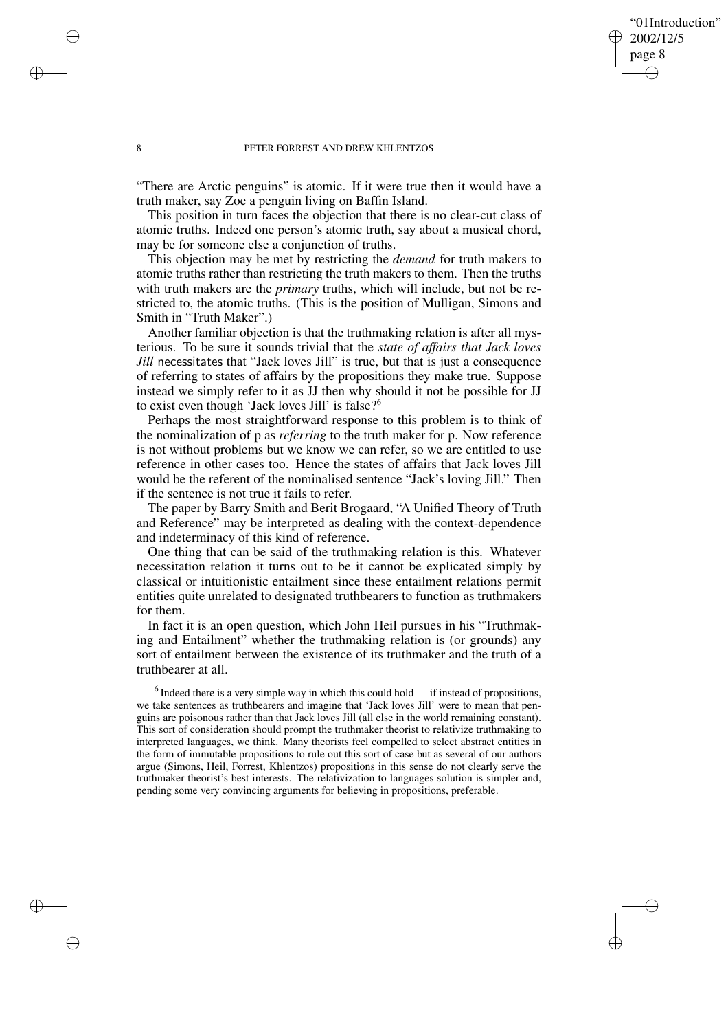## "01Introduction" 2002/12/5 page 8 ✐ ✐

✐

✐

#### 8 PETER FORREST AND DREW KHLENTZOS

"There are Arctic penguins" is atomic. If it were true then it would have a truth maker, say Zoe a penguin living on Baffin Island.

This position in turn faces the objection that there is no clear-cut class of atomic truths. Indeed one person's atomic truth, say about a musical chord, may be for someone else a conjunction of truths.

This objection may be met by restricting the *demand* for truth makers to atomic truths rather than restricting the truth makers to them. Then the truths with truth makers are the *primary* truths, which will include, but not be restricted to, the atomic truths. (This is the position of Mulligan, Simons and Smith in "Truth Maker".)

Another familiar objection is that the truthmaking relation is after all mysterious. To be sure it sounds trivial that the *state of affairs that Jack loves Jill* necessitates that "Jack loves Jill" is true, but that is just a consequence of referring to states of affairs by the propositions they make true. Suppose instead we simply refer to it as JJ then why should it not be possible for JJ to exist even though 'Jack loves Jill' is false?<sup>6</sup>

Perhaps the most straightforward response to this problem is to think of the nominalization of p as *referring* to the truth maker for p. Now reference is not without problems but we know we can refer, so we are entitled to use reference in other cases too. Hence the states of affairs that Jack loves Jill would be the referent of the nominalised sentence "Jack's loving Jill." Then if the sentence is not true it fails to refer.

The paper by Barry Smith and Berit Brogaard, "A Unified Theory of Truth and Reference" may be interpreted as dealing with the context-dependence and indeterminacy of this kind of reference.

One thing that can be said of the truthmaking relation is this. Whatever necessitation relation it turns out to be it cannot be explicated simply by classical or intuitionistic entailment since these entailment relations permit entities quite unrelated to designated truthbearers to function as truthmakers for them.

In fact it is an open question, which John Heil pursues in his "Truthmaking and Entailment" whether the truthmaking relation is (or grounds) any sort of entailment between the existence of its truthmaker and the truth of a truthbearer at all.

 $<sup>6</sup>$  Indeed there is a very simple way in which this could hold — if instead of propositions,</sup> we take sentences as truthbearers and imagine that 'Jack loves Jill' were to mean that penguins are poisonous rather than that Jack loves Jill (all else in the world remaining constant). This sort of consideration should prompt the truthmaker theorist to relativize truthmaking to interpreted languages, we think. Many theorists feel compelled to select abstract entities in the form of immutable propositions to rule out this sort of case but as several of our authors argue (Simons, Heil, Forrest, Khlentzos) propositions in this sense do not clearly serve the truthmaker theorist's best interests. The relativization to languages solution is simpler and, pending some very convincing arguments for believing in propositions, preferable.

✐

✐

✐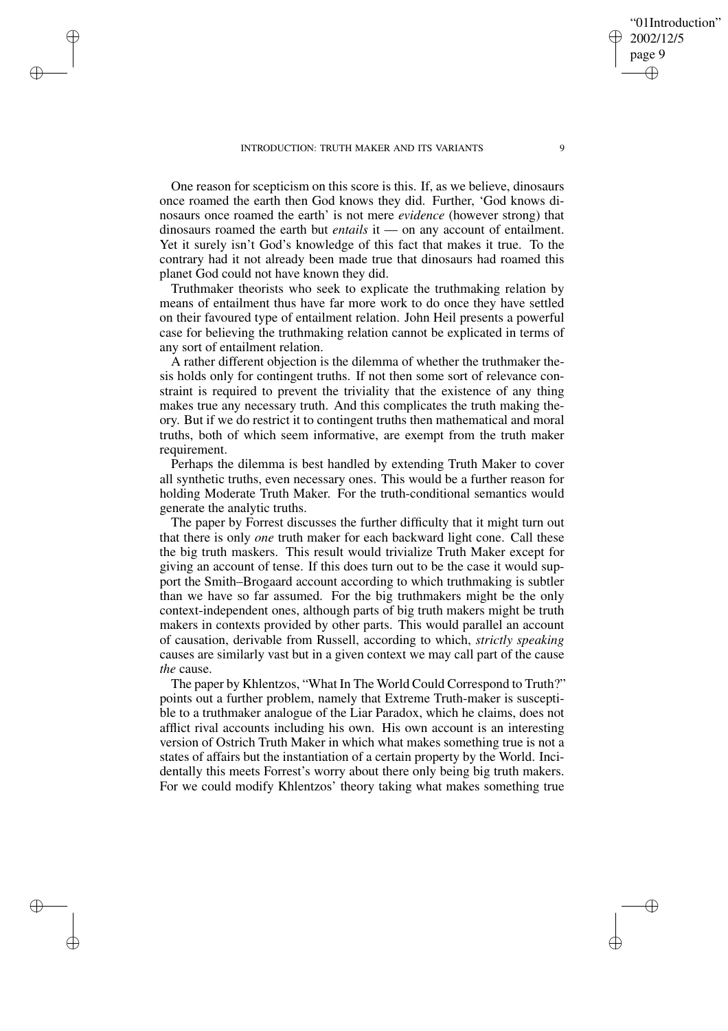✐

✐

✐

✐

One reason for scepticism on this score is this. If, as we believe, dinosaurs once roamed the earth then God knows they did. Further, 'God knows dinosaurs once roamed the earth' is not mere *evidence* (however strong) that dinosaurs roamed the earth but *entails* it — on any account of entailment. Yet it surely isn't God's knowledge of this fact that makes it true. To the contrary had it not already been made true that dinosaurs had roamed this planet God could not have known they did.

Truthmaker theorists who seek to explicate the truthmaking relation by means of entailment thus have far more work to do once they have settled on their favoured type of entailment relation. John Heil presents a powerful case for believing the truthmaking relation cannot be explicated in terms of any sort of entailment relation.

A rather different objection is the dilemma of whether the truthmaker thesis holds only for contingent truths. If not then some sort of relevance constraint is required to prevent the triviality that the existence of any thing makes true any necessary truth. And this complicates the truth making theory. But if we do restrict it to contingent truths then mathematical and moral truths, both of which seem informative, are exempt from the truth maker requirement.

Perhaps the dilemma is best handled by extending Truth Maker to cover all synthetic truths, even necessary ones. This would be a further reason for holding Moderate Truth Maker. For the truth-conditional semantics would generate the analytic truths.

The paper by Forrest discusses the further difficulty that it might turn out that there is only *one* truth maker for each backward light cone. Call these the big truth maskers. This result would trivialize Truth Maker except for giving an account of tense. If this does turn out to be the case it would support the Smith–Brogaard account according to which truthmaking is subtler than we have so far assumed. For the big truthmakers might be the only context-independent ones, although parts of big truth makers might be truth makers in contexts provided by other parts. This would parallel an account of causation, derivable from Russell, according to which, *strictly speaking* causes are similarly vast but in a given context we may call part of the cause *the* cause.

The paper by Khlentzos, "What In The World Could Correspond to Truth?" points out a further problem, namely that Extreme Truth-maker is susceptible to a truthmaker analogue of the Liar Paradox, which he claims, does not afflict rival accounts including his own. His own account is an interesting version of Ostrich Truth Maker in which what makes something true is not a states of affairs but the instantiation of a certain property by the World. Incidentally this meets Forrest's worry about there only being big truth makers. For we could modify Khlentzos' theory taking what makes something true

"01Introduction"

2002/12/5 page 9

✐

✐

✐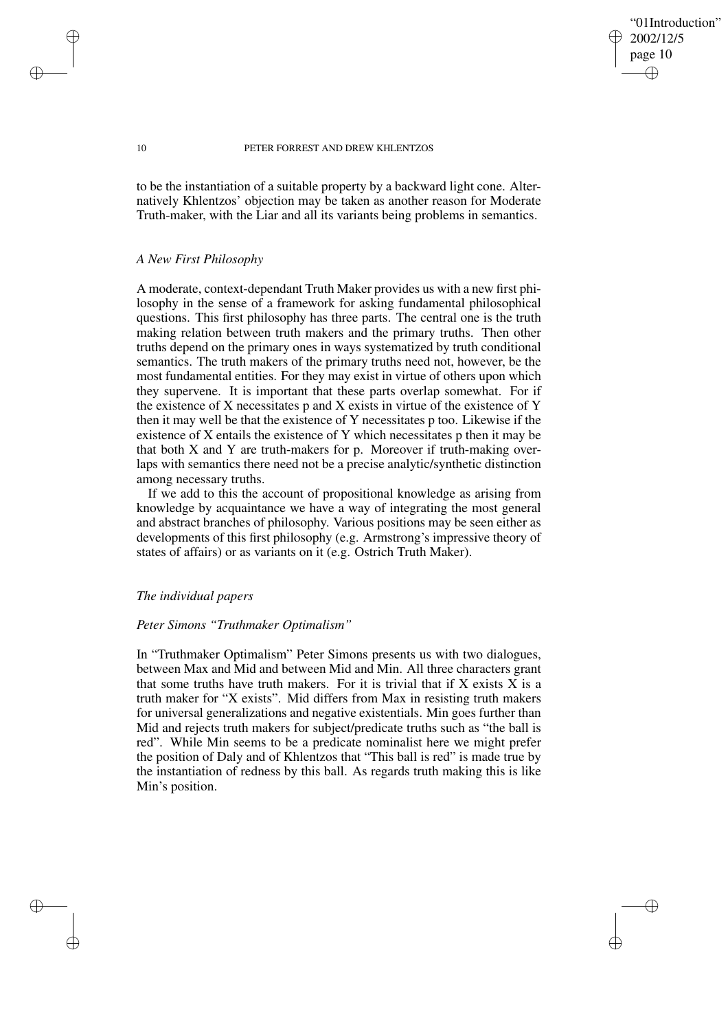"01Introduction" 2002/12/5 page 10 ✐ ✐

✐

✐

#### 10 PETER FORREST AND DREW KHLENTZOS

to be the instantiation of a suitable property by a backward light cone. Alternatively Khlentzos' objection may be taken as another reason for Moderate Truth-maker, with the Liar and all its variants being problems in semantics.

## *A New First Philosophy*

A moderate, context-dependant Truth Maker provides us with a new first philosophy in the sense of a framework for asking fundamental philosophical questions. This first philosophy has three parts. The central one is the truth making relation between truth makers and the primary truths. Then other truths depend on the primary ones in ways systematized by truth conditional semantics. The truth makers of the primary truths need not, however, be the most fundamental entities. For they may exist in virtue of others upon which they supervene. It is important that these parts overlap somewhat. For if the existence of X necessitates p and X exists in virtue of the existence of Y then it may well be that the existence of Y necessitates p too. Likewise if the existence of X entails the existence of Y which necessitates p then it may be that both X and Y are truth-makers for p. Moreover if truth-making overlaps with semantics there need not be a precise analytic/synthetic distinction among necessary truths.

If we add to this the account of propositional knowledge as arising from knowledge by acquaintance we have a way of integrating the most general and abstract branches of philosophy. Various positions may be seen either as developments of this first philosophy (e.g. Armstrong's impressive theory of states of affairs) or as variants on it (e.g. Ostrich Truth Maker).

#### *The individual papers*

## *Peter Simons "Truthmaker Optimalism"*

In "Truthmaker Optimalism" Peter Simons presents us with two dialogues, between Max and Mid and between Mid and Min. All three characters grant that some truths have truth makers. For it is trivial that if  $X$  exists  $X$  is a truth maker for "X exists". Mid differs from Max in resisting truth makers for universal generalizations and negative existentials. Min goes further than Mid and rejects truth makers for subject/predicate truths such as "the ball is red". While Min seems to be a predicate nominalist here we might prefer the position of Daly and of Khlentzos that "This ball is red" is made true by the instantiation of redness by this ball. As regards truth making this is like Min's position.

✐

✐

✐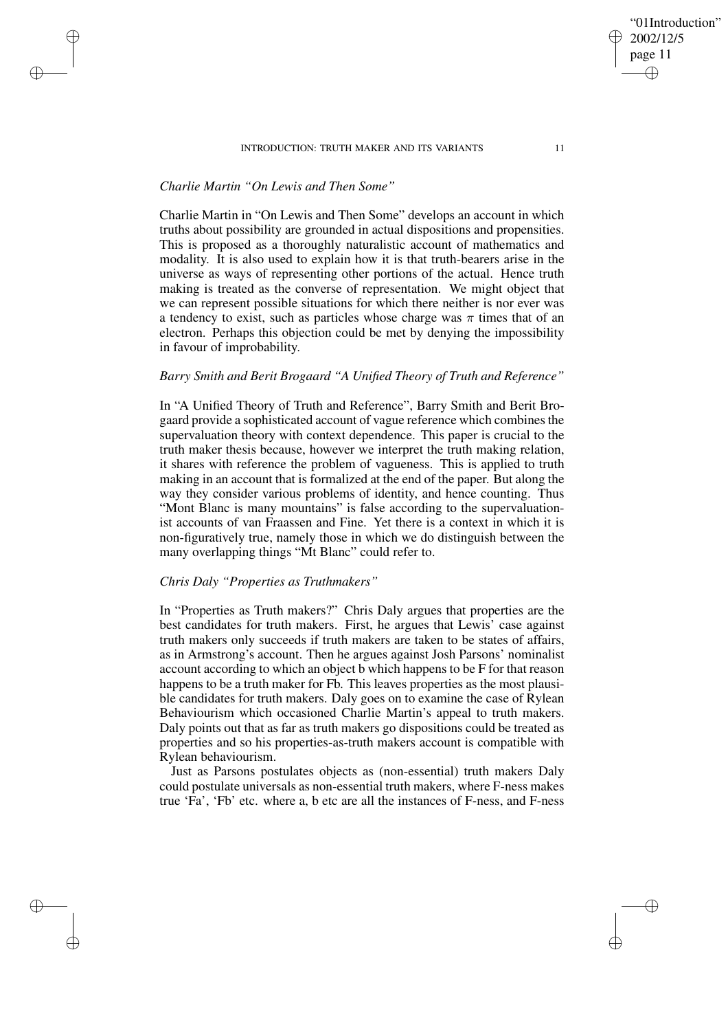## *Charlie Martin "On Lewis and Then Some"*

✐

✐

✐

✐

Charlie Martin in "On Lewis and Then Some" develops an account in which truths about possibility are grounded in actual dispositions and propensities. This is proposed as a thoroughly naturalistic account of mathematics and modality. It is also used to explain how it is that truth-bearers arise in the universe as ways of representing other portions of the actual. Hence truth making is treated as the converse of representation. We might object that we can represent possible situations for which there neither is nor ever was a tendency to exist, such as particles whose charge was  $\pi$  times that of an electron. Perhaps this objection could be met by denying the impossibility in favour of improbability.

# *Barry Smith and Berit Brogaard "A Unified Theory of Truth and Reference"*

In "A Unified Theory of Truth and Reference", Barry Smith and Berit Brogaard provide a sophisticated account of vague reference which combines the supervaluation theory with context dependence. This paper is crucial to the truth maker thesis because, however we interpret the truth making relation, it shares with reference the problem of vagueness. This is applied to truth making in an account that is formalized at the end of the paper. But along the way they consider various problems of identity, and hence counting. Thus "Mont Blanc is many mountains" is false according to the supervaluationist accounts of van Fraassen and Fine. Yet there is a context in which it is non-figuratively true, namely those in which we do distinguish between the many overlapping things "Mt Blanc" could refer to.

# *Chris Daly "Properties as Truthmakers"*

In "Properties as Truth makers?" Chris Daly argues that properties are the best candidates for truth makers. First, he argues that Lewis' case against truth makers only succeeds if truth makers are taken to be states of affairs, as in Armstrong's account. Then he argues against Josh Parsons' nominalist account according to which an object b which happens to be F for that reason happens to be a truth maker for Fb. This leaves properties as the most plausible candidates for truth makers. Daly goes on to examine the case of Rylean Behaviourism which occasioned Charlie Martin's appeal to truth makers. Daly points out that as far as truth makers go dispositions could be treated as properties and so his properties-as-truth makers account is compatible with Rylean behaviourism.

Just as Parsons postulates objects as (non-essential) truth makers Daly could postulate universals as non-essential truth makers, where F-ness makes true 'Fa', 'Fb' etc. where a, b etc are all the instances of F-ness, and F-ness

"01Introduction"

2002/12/5 page 11

✐

✐

✐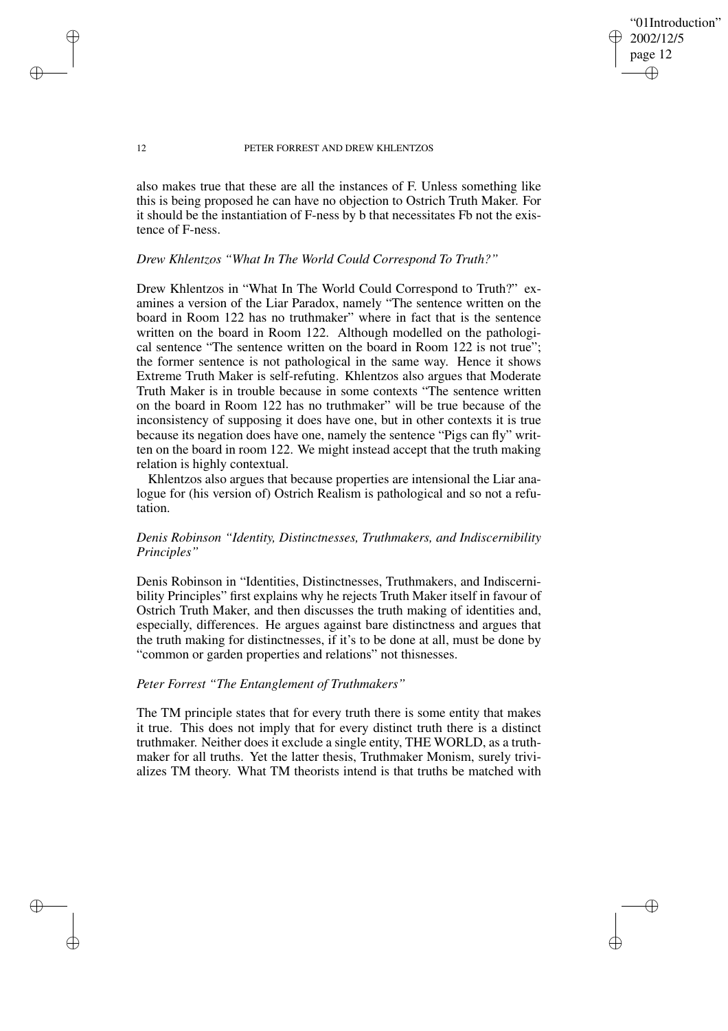"01Introduction" 2002/12/5 page 12 ✐ ✐

✐

✐

#### 12 PETER FORREST AND DREW KHLENTZOS

✐

✐

✐

✐

also makes true that these are all the instances of F. Unless something like this is being proposed he can have no objection to Ostrich Truth Maker. For it should be the instantiation of F-ness by b that necessitates Fb not the existence of F-ness.

## *Drew Khlentzos "What In The World Could Correspond To Truth?"*

Drew Khlentzos in "What In The World Could Correspond to Truth?" examines a version of the Liar Paradox, namely "The sentence written on the board in Room 122 has no truthmaker" where in fact that is the sentence written on the board in Room 122. Although modelled on the pathological sentence "The sentence written on the board in Room 122 is not true"; the former sentence is not pathological in the same way. Hence it shows Extreme Truth Maker is self-refuting. Khlentzos also argues that Moderate Truth Maker is in trouble because in some contexts "The sentence written on the board in Room 122 has no truthmaker" will be true because of the inconsistency of supposing it does have one, but in other contexts it is true because its negation does have one, namely the sentence "Pigs can fly" written on the board in room 122. We might instead accept that the truth making relation is highly contextual.

Khlentzos also argues that because properties are intensional the Liar analogue for (his version of) Ostrich Realism is pathological and so not a refutation.

# *Denis Robinson "Identity, Distinctnesses, Truthmakers, and Indiscernibility Principles"*

Denis Robinson in "Identities, Distinctnesses, Truthmakers, and Indiscernibility Principles" first explains why he rejects Truth Maker itself in favour of Ostrich Truth Maker, and then discusses the truth making of identities and, especially, differences. He argues against bare distinctness and argues that the truth making for distinctnesses, if it's to be done at all, must be done by "common or garden properties and relations" not thisnesses.

# *Peter Forrest "The Entanglement of Truthmakers"*

The TM principle states that for every truth there is some entity that makes it true. This does not imply that for every distinct truth there is a distinct truthmaker. Neither does it exclude a single entity, THE WORLD, as a truthmaker for all truths. Yet the latter thesis, Truthmaker Monism, surely trivializes TM theory. What TM theorists intend is that truths be matched with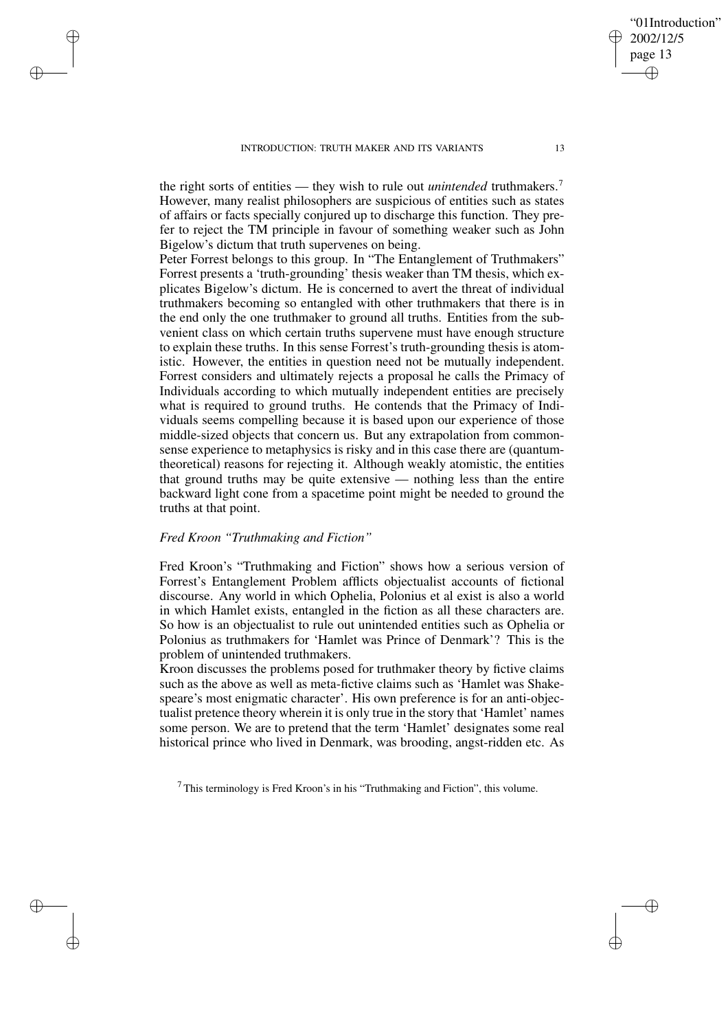the right sorts of entities — they wish to rule out *unintended* truthmakers.<sup>7</sup> However, many realist philosophers are suspicious of entities such as states of affairs or facts specially conjured up to discharge this function. They prefer to reject the TM principle in favour of something weaker such as John Bigelow's dictum that truth supervenes on being.

Peter Forrest belongs to this group. In "The Entanglement of Truthmakers" Forrest presents a 'truth-grounding' thesis weaker than TM thesis, which explicates Bigelow's dictum. He is concerned to avert the threat of individual truthmakers becoming so entangled with other truthmakers that there is in the end only the one truthmaker to ground all truths. Entities from the subvenient class on which certain truths supervene must have enough structure to explain these truths. In this sense Forrest's truth-grounding thesis is atomistic. However, the entities in question need not be mutually independent. Forrest considers and ultimately rejects a proposal he calls the Primacy of Individuals according to which mutually independent entities are precisely what is required to ground truths. He contends that the Primacy of Individuals seems compelling because it is based upon our experience of those middle-sized objects that concern us. But any extrapolation from commonsense experience to metaphysics is risky and in this case there are (quantumtheoretical) reasons for rejecting it. Although weakly atomistic, the entities that ground truths may be quite extensive — nothing less than the entire backward light cone from a spacetime point might be needed to ground the truths at that point.

# *Fred Kroon "Truthmaking and Fiction"*

✐

✐

✐

✐

Fred Kroon's "Truthmaking and Fiction" shows how a serious version of Forrest's Entanglement Problem afflicts objectualist accounts of fictional discourse. Any world in which Ophelia, Polonius et al exist is also a world in which Hamlet exists, entangled in the fiction as all these characters are. So how is an objectualist to rule out unintended entities such as Ophelia or Polonius as truthmakers for 'Hamlet was Prince of Denmark'? This is the problem of unintended truthmakers.

Kroon discusses the problems posed for truthmaker theory by fictive claims such as the above as well as meta-fictive claims such as 'Hamlet was Shakespeare's most enigmatic character'. His own preference is for an anti-objectualist pretence theory wherein it is only true in the story that 'Hamlet' names some person. We are to pretend that the term 'Hamlet' designates some real historical prince who lived in Denmark, was brooding, angst-ridden etc. As

"01Introduction"

2002/12/5 page 13

✐

✐

✐

 $<sup>7</sup>$ This terminology is Fred Kroon's in his "Truthmaking and Fiction", this volume.</sup>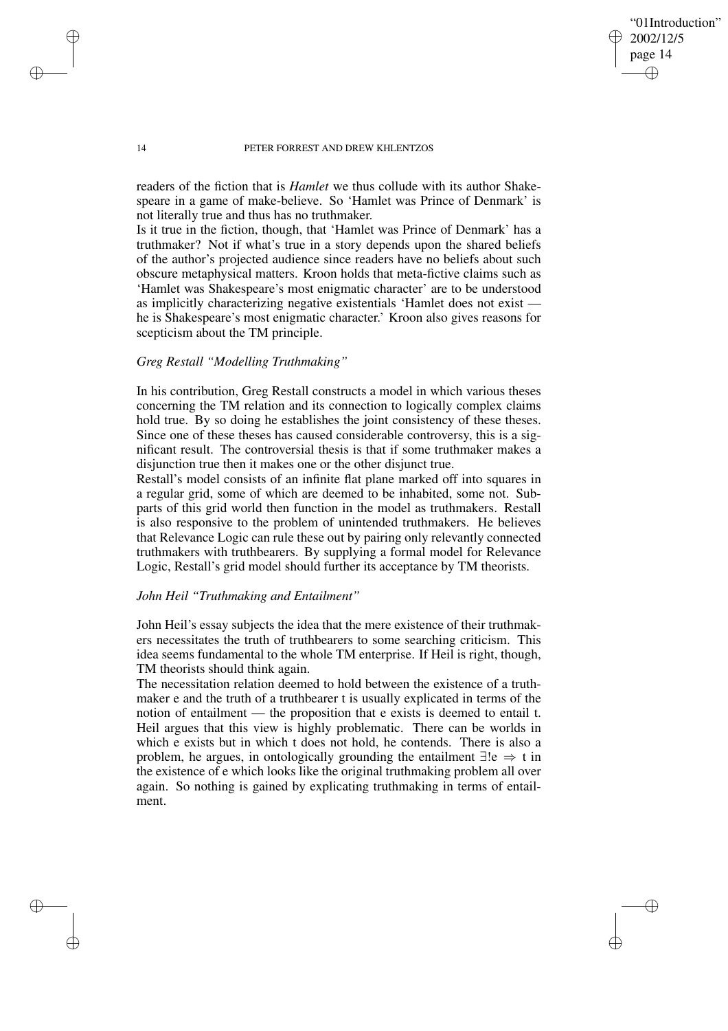## "01Introduction" 2002/12/5 page 14 ✐ ✐

✐

✐

#### 14 PETER FORREST AND DREW KHLENTZOS

readers of the fiction that is *Hamlet* we thus collude with its author Shakespeare in a game of make-believe. So 'Hamlet was Prince of Denmark' is not literally true and thus has no truthmaker.

Is it true in the fiction, though, that 'Hamlet was Prince of Denmark' has a truthmaker? Not if what's true in a story depends upon the shared beliefs of the author's projected audience since readers have no beliefs about such obscure metaphysical matters. Kroon holds that meta-fictive claims such as 'Hamlet was Shakespeare's most enigmatic character' are to be understood as implicitly characterizing negative existentials 'Hamlet does not exist he is Shakespeare's most enigmatic character.' Kroon also gives reasons for scepticism about the TM principle.

# *Greg Restall "Modelling Truthmaking"*

In his contribution, Greg Restall constructs a model in which various theses concerning the TM relation and its connection to logically complex claims hold true. By so doing he establishes the joint consistency of these theses. Since one of these theses has caused considerable controversy, this is a significant result. The controversial thesis is that if some truthmaker makes a disjunction true then it makes one or the other disjunct true.

Restall's model consists of an infinite flat plane marked off into squares in a regular grid, some of which are deemed to be inhabited, some not. Subparts of this grid world then function in the model as truthmakers. Restall is also responsive to the problem of unintended truthmakers. He believes that Relevance Logic can rule these out by pairing only relevantly connected truthmakers with truthbearers. By supplying a formal model for Relevance Logic, Restall's grid model should further its acceptance by TM theorists.

## *John Heil "Truthmaking and Entailment"*

John Heil's essay subjects the idea that the mere existence of their truthmakers necessitates the truth of truthbearers to some searching criticism. This idea seems fundamental to the whole TM enterprise. If Heil is right, though, TM theorists should think again.

The necessitation relation deemed to hold between the existence of a truthmaker e and the truth of a truthbearer t is usually explicated in terms of the notion of entailment — the proposition that e exists is deemed to entail t. Heil argues that this view is highly problematic. There can be worlds in which e exists but in which t does not hold, he contends. There is also a problem, he argues, in ontologically grounding the entailment  $\exists! e \Rightarrow t$  in the existence of e which looks like the original truthmaking problem all over again. So nothing is gained by explicating truthmaking in terms of entailment.

✐

✐

✐